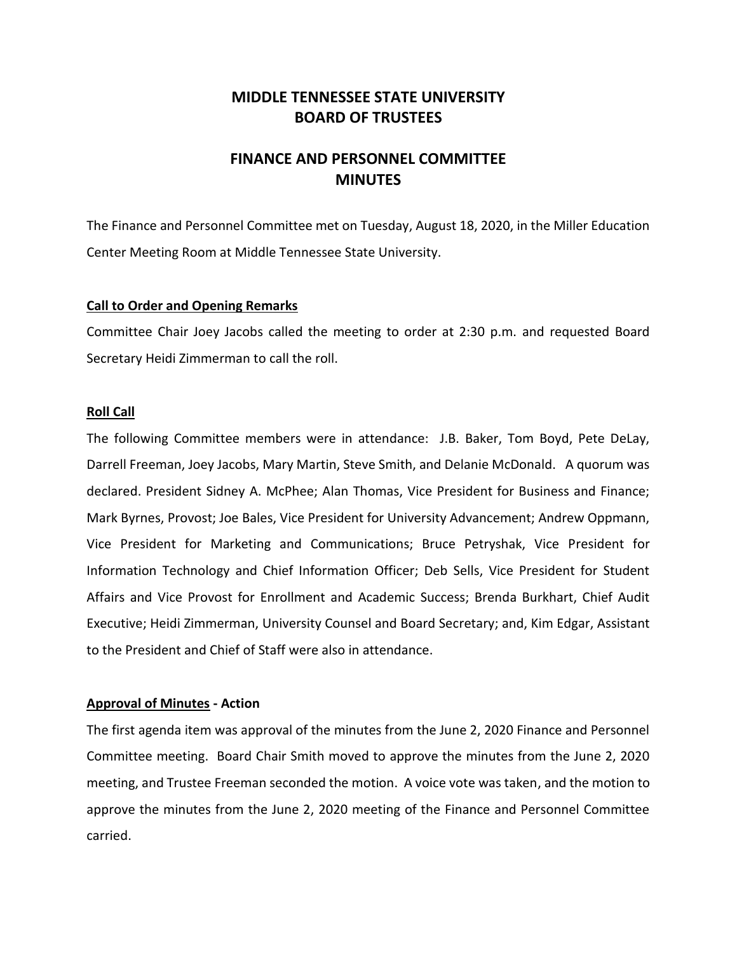## **MIDDLE TENNESSEE STATE UNIVERSITY BOARD OF TRUSTEES**

# **FINANCE AND PERSONNEL COMMITTEE MINUTES**

The Finance and Personnel Committee met on Tuesday, August 18, 2020, in the Miller Education Center Meeting Room at Middle Tennessee State University.

#### **Call to Order and Opening Remarks**

Committee Chair Joey Jacobs called the meeting to order at 2:30 p.m. and requested Board Secretary Heidi Zimmerman to call the roll.

#### **Roll Call**

The following Committee members were in attendance: J.B. Baker, Tom Boyd, Pete DeLay, Darrell Freeman, Joey Jacobs, Mary Martin, Steve Smith, and Delanie McDonald. A quorum was declared. President Sidney A. McPhee; Alan Thomas, Vice President for Business and Finance; Mark Byrnes, Provost; Joe Bales, Vice President for University Advancement; Andrew Oppmann, Vice President for Marketing and Communications; Bruce Petryshak, Vice President for Information Technology and Chief Information Officer; Deb Sells, Vice President for Student Affairs and Vice Provost for Enrollment and Academic Success; Brenda Burkhart, Chief Audit Executive; Heidi Zimmerman, University Counsel and Board Secretary; and, Kim Edgar, Assistant to the President and Chief of Staff were also in attendance.

#### **Approval of Minutes - Action**

The first agenda item was approval of the minutes from the June 2, 2020 Finance and Personnel Committee meeting. Board Chair Smith moved to approve the minutes from the June 2, 2020 meeting, and Trustee Freeman seconded the motion. A voice vote was taken, and the motion to approve the minutes from the June 2, 2020 meeting of the Finance and Personnel Committee carried.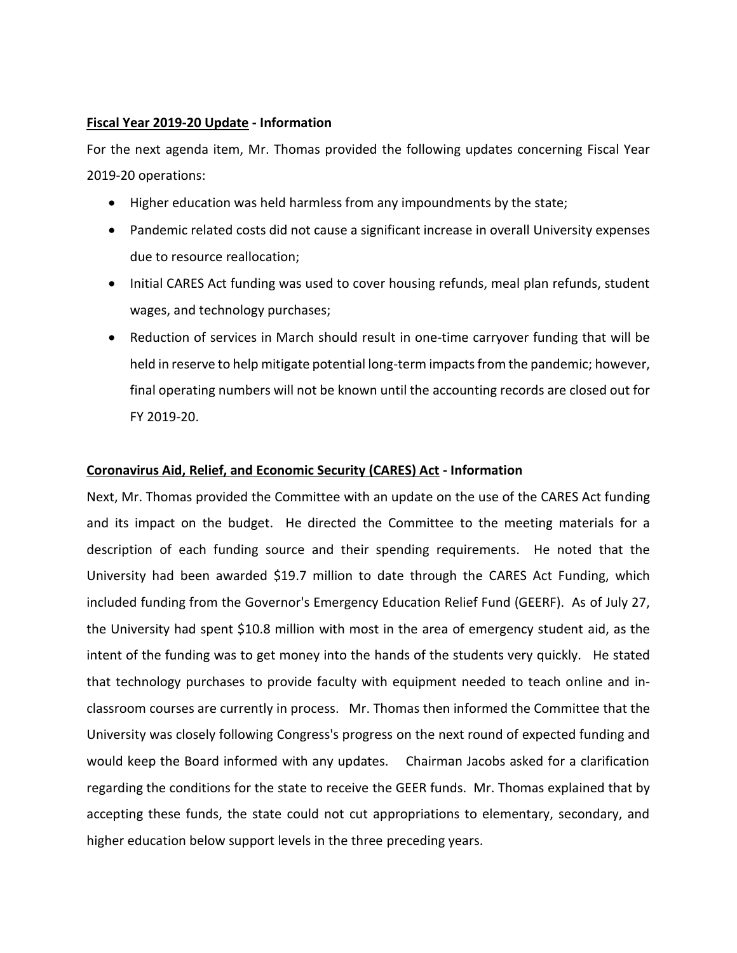### **Fiscal Year 2019-20 Update - Information**

For the next agenda item, Mr. Thomas provided the following updates concerning Fiscal Year 2019-20 operations:

- Higher education was held harmless from any impoundments by the state;
- Pandemic related costs did not cause a significant increase in overall University expenses due to resource reallocation;
- Initial CARES Act funding was used to cover housing refunds, meal plan refunds, student wages, and technology purchases;
- Reduction of services in March should result in one-time carryover funding that will be held in reserve to help mitigate potential long-term impacts from the pandemic; however, final operating numbers will not be known until the accounting records are closed out for FY 2019-20.

## **Coronavirus Aid, Relief, and Economic Security (CARES) Act - Information**

Next, Mr. Thomas provided the Committee with an update on the use of the CARES Act funding and its impact on the budget. He directed the Committee to the meeting materials for a description of each funding source and their spending requirements. He noted that the University had been awarded \$19.7 million to date through the CARES Act Funding, which included funding from the Governor's Emergency Education Relief Fund (GEERF). As of July 27, the University had spent \$10.8 million with most in the area of emergency student aid, as the intent of the funding was to get money into the hands of the students very quickly. He stated that technology purchases to provide faculty with equipment needed to teach online and inclassroom courses are currently in process. Mr. Thomas then informed the Committee that the University was closely following Congress's progress on the next round of expected funding and would keep the Board informed with any updates. Chairman Jacobs asked for a clarification regarding the conditions for the state to receive the GEER funds. Mr. Thomas explained that by accepting these funds, the state could not cut appropriations to elementary, secondary, and higher education below support levels in the three preceding years.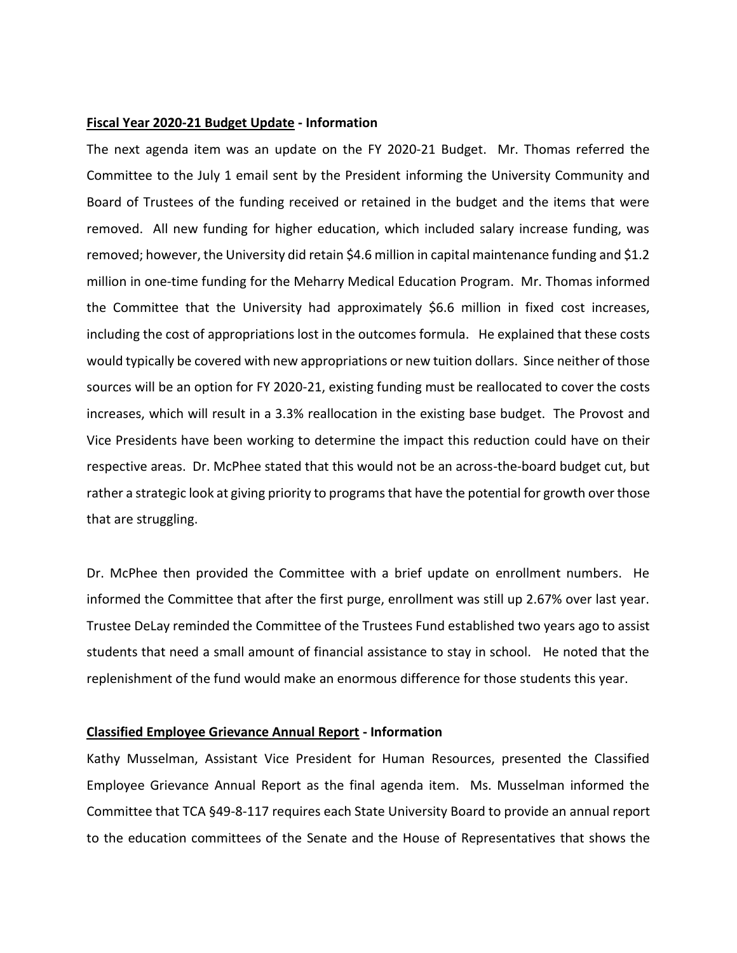#### **Fiscal Year 2020-21 Budget Update - Information**

The next agenda item was an update on the FY 2020-21 Budget. Mr. Thomas referred the Committee to the July 1 email sent by the President informing the University Community and Board of Trustees of the funding received or retained in the budget and the items that were removed. All new funding for higher education, which included salary increase funding, was removed; however, the University did retain \$4.6 million in capital maintenance funding and \$1.2 million in one-time funding for the Meharry Medical Education Program. Mr. Thomas informed the Committee that the University had approximately \$6.6 million in fixed cost increases, including the cost of appropriations lost in the outcomes formula. He explained that these costs would typically be covered with new appropriations or new tuition dollars. Since neither of those sources will be an option for FY 2020-21, existing funding must be reallocated to cover the costs increases, which will result in a 3.3% reallocation in the existing base budget. The Provost and Vice Presidents have been working to determine the impact this reduction could have on their respective areas. Dr. McPhee stated that this would not be an across-the-board budget cut, but rather a strategic look at giving priority to programs that have the potential for growth over those that are struggling.

Dr. McPhee then provided the Committee with a brief update on enrollment numbers. He informed the Committee that after the first purge, enrollment was still up 2.67% over last year. Trustee DeLay reminded the Committee of the Trustees Fund established two years ago to assist students that need a small amount of financial assistance to stay in school. He noted that the replenishment of the fund would make an enormous difference for those students this year.

#### **Classified Employee Grievance Annual Report - Information**

Kathy Musselman, Assistant Vice President for Human Resources, presented the Classified Employee Grievance Annual Report as the final agenda item. Ms. Musselman informed the Committee that TCA §49-8-117 requires each State University Board to provide an annual report to the education committees of the Senate and the House of Representatives that shows the